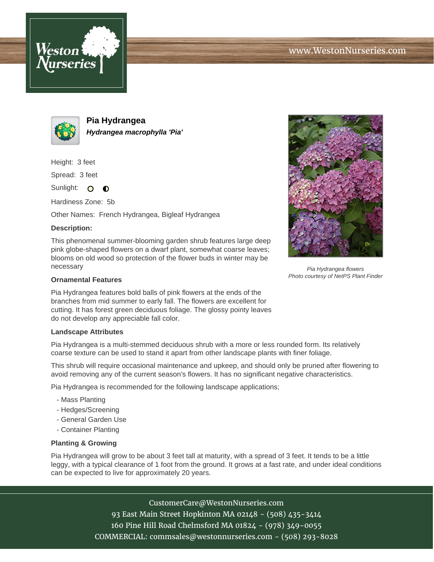



**Pia Hydrangea Hydrangea macrophylla 'Pia'**

Height: 3 feet

Spread: 3 feet

Sunlight: O  $\bullet$ 

Hardiness Zone: 5b

Other Names: French Hydrangea, Bigleaf Hydrangea

## **Description:**

This phenomenal summer-blooming garden shrub features large deep pink globe-shaped flowers on a dwarf plant, somewhat coarse leaves; blooms on old wood so protection of the flower buds in winter may be necessary

## **Ornamental Features**

Pia Hydrangea features bold balls of pink flowers at the ends of the branches from mid summer to early fall. The flowers are excellent for cutting. It has forest green deciduous foliage. The glossy pointy leaves do not develop any appreciable fall color.

## **Landscape Attributes**

Pia Hydrangea is a multi-stemmed deciduous shrub with a more or less rounded form. Its relatively coarse texture can be used to stand it apart from other landscape plants with finer foliage.

This shrub will require occasional maintenance and upkeep, and should only be pruned after flowering to avoid removing any of the current season's flowers. It has no significant negative characteristics.

Pia Hydrangea is recommended for the following landscape applications;

- Mass Planting
- Hedges/Screening
- General Garden Use
- Container Planting

## **Planting & Growing**

Pia Hydrangea will grow to be about 3 feet tall at maturity, with a spread of 3 feet. It tends to be a little leggy, with a typical clearance of 1 foot from the ground. It grows at a fast rate, and under ideal conditions can be expected to live for approximately 20 years.

> CustomerCare@WestonNurseries.com 93 East Main Street Hopkinton MA 02148 - (508) 435-3414 160 Pine Hill Road Chelmsford MA 01824 - (978) 349-0055 COMMERCIAL: commsales@westonnurseries.com - (508) 293-8028



Pia Hydrangea flowers Photo courtesy of NetPS Plant Finder